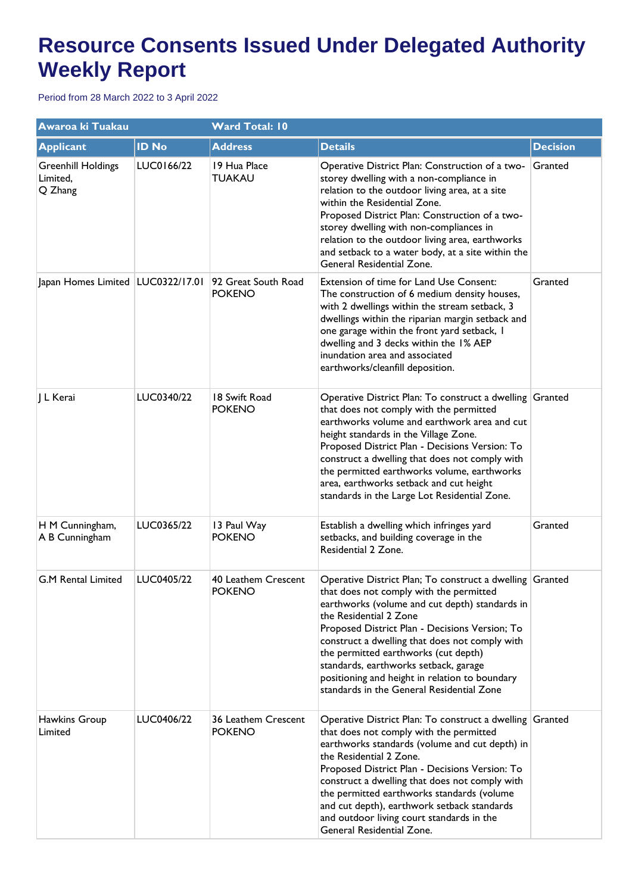| Awaroa ki Tuakau                                 |              | <b>Ward Total: 10</b>                |                                                                                                                                                                                                                                                                                                                                                                                                                                                                     |                 |  |
|--------------------------------------------------|--------------|--------------------------------------|---------------------------------------------------------------------------------------------------------------------------------------------------------------------------------------------------------------------------------------------------------------------------------------------------------------------------------------------------------------------------------------------------------------------------------------------------------------------|-----------------|--|
| <b>Applicant</b>                                 | <b>ID No</b> | <b>Address</b>                       | <b>Details</b>                                                                                                                                                                                                                                                                                                                                                                                                                                                      | <b>Decision</b> |  |
| <b>Greenhill Holdings</b><br>Limited,<br>Q Zhang | LUC0166/22   | 19 Hua Place<br><b>TUAKAU</b>        | Operative District Plan: Construction of a two-<br>storey dwelling with a non-compliance in<br>relation to the outdoor living area, at a site<br>within the Residential Zone.<br>Proposed District Plan: Construction of a two-<br>storey dwelling with non-compliances in<br>relation to the outdoor living area, earthworks<br>and setback to a water body, at a site within the<br>General Residential Zone.                                                     | Granted         |  |
| Japan Homes Limited   LUC0322/17.01              |              | 92 Great South Road<br><b>POKENO</b> | Extension of time for Land Use Consent:<br>The construction of 6 medium density houses,<br>with 2 dwellings within the stream setback, 3<br>dwellings within the riparian margin setback and<br>one garage within the front yard setback, I<br>dwelling and 3 decks within the 1% AEP<br>inundation area and associated<br>earthworks/cleanfill deposition.                                                                                                         | Granted         |  |
| L Kerai                                          | LUC0340/22   | 18 Swift Road<br><b>POKENO</b>       | Operative District Plan: To construct a dwelling Granted<br>that does not comply with the permitted<br>earthworks volume and earthwork area and cut<br>height standards in the Village Zone.<br>Proposed District Plan - Decisions Version: To<br>construct a dwelling that does not comply with<br>the permitted earthworks volume, earthworks<br>area, earthworks setback and cut height<br>standards in the Large Lot Residential Zone.                          |                 |  |
| H M Cunningham,<br>A B Cunningham                | LUC0365/22   | 13 Paul Way<br><b>POKENO</b>         | Establish a dwelling which infringes yard<br>setbacks, and building coverage in the<br>Residential 2 Zone.                                                                                                                                                                                                                                                                                                                                                          | Granted         |  |
| <b>G.M Rental Limited</b>                        | LUC0405/22   | 40 Leathem Crescent<br><b>POKENO</b> | Operative District Plan; To construct a dwelling Granted<br>that does not comply with the permitted<br>earthworks (volume and cut depth) standards in<br>the Residential 2 Zone<br>Proposed District Plan - Decisions Version; To<br>construct a dwelling that does not comply with<br>the permitted earthworks (cut depth)<br>standards, earthworks setback, garage<br>positioning and height in relation to boundary<br>standards in the General Residential Zone |                 |  |
| Hawkins Group<br>Limited                         | LUC0406/22   | 36 Leathem Crescent<br><b>POKENO</b> | Operative District Plan: To construct a dwelling Granted<br>that does not comply with the permitted<br>earthworks standards (volume and cut depth) in<br>the Residential 2 Zone.<br>Proposed District Plan - Decisions Version: To<br>construct a dwelling that does not comply with<br>the permitted earthworks standards (volume<br>and cut depth), earthwork setback standards<br>and outdoor living court standards in the<br>General Residential Zone.         |                 |  |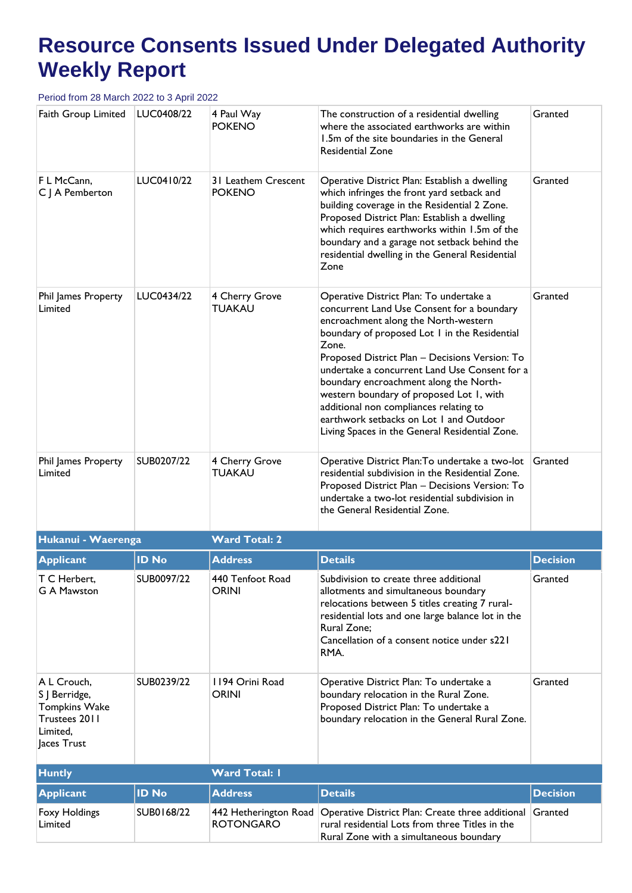| Faith Group Limited                                                                              | LUC0408/22   | 4 Paul Way<br><b>POKENO</b>                                                                                                                                                                                                                                                                                                                                                                                                                                                                                                                                | The construction of a residential dwelling<br>where the associated earthworks are within<br>1.5m of the site boundaries in the General<br><b>Residential Zone</b>                                                                                                                                                                                      | Granted         |
|--------------------------------------------------------------------------------------------------|--------------|------------------------------------------------------------------------------------------------------------------------------------------------------------------------------------------------------------------------------------------------------------------------------------------------------------------------------------------------------------------------------------------------------------------------------------------------------------------------------------------------------------------------------------------------------------|--------------------------------------------------------------------------------------------------------------------------------------------------------------------------------------------------------------------------------------------------------------------------------------------------------------------------------------------------------|-----------------|
| F L McCann,<br>C J A Pemberton                                                                   | LUC0410/22   | 31 Leathem Crescent<br><b>POKENO</b>                                                                                                                                                                                                                                                                                                                                                                                                                                                                                                                       | Operative District Plan: Establish a dwelling<br>which infringes the front yard setback and<br>building coverage in the Residential 2 Zone.<br>Proposed District Plan: Establish a dwelling<br>which requires earthworks within 1.5m of the<br>boundary and a garage not setback behind the<br>residential dwelling in the General Residential<br>Zone | Granted         |
| Phil James Property<br>Limited                                                                   | LUC0434/22   | 4 Cherry Grove<br>Operative District Plan: To undertake a<br><b>TUAKAU</b><br>concurrent Land Use Consent for a boundary<br>encroachment along the North-western<br>boundary of proposed Lot I in the Residential<br>Zone.<br>Proposed District Plan - Decisions Version: To<br>undertake a concurrent Land Use Consent for a<br>boundary encroachment along the North-<br>western boundary of proposed Lot 1, with<br>additional non compliances relating to<br>earthwork setbacks on Lot 1 and Outdoor<br>Living Spaces in the General Residential Zone. |                                                                                                                                                                                                                                                                                                                                                        | Granted         |
| Phil James Property<br>Limited                                                                   | SUB0207/22   | 4 Cherry Grove<br><b>TUAKAU</b>                                                                                                                                                                                                                                                                                                                                                                                                                                                                                                                            | Operative District Plan: To undertake a two-lot<br>residential subdivision in the Residential Zone.<br>Proposed District Plan - Decisions Version: To<br>undertake a two-lot residential subdivision in<br>the General Residential Zone.                                                                                                               | Granted         |
| Hukanui - Waerenga                                                                               |              | <b>Ward Total: 2</b>                                                                                                                                                                                                                                                                                                                                                                                                                                                                                                                                       |                                                                                                                                                                                                                                                                                                                                                        |                 |
| <b>Applicant</b>                                                                                 | <b>ID No</b> | <b>Address</b>                                                                                                                                                                                                                                                                                                                                                                                                                                                                                                                                             | <b>Details</b>                                                                                                                                                                                                                                                                                                                                         | <b>Decision</b> |
| T C Herbert,<br><b>G A Mawston</b>                                                               | SUB0097/22   | 440 Tenfoot Road<br><b>ORINI</b>                                                                                                                                                                                                                                                                                                                                                                                                                                                                                                                           | Subdivision to create three additional<br>allotments and simultaneous boundary<br>relocations between 5 titles creating 7 rural-<br>residential lots and one large balance lot in the<br>Rural Zone;<br>Cancellation of a consent notice under s221<br>RMA.                                                                                            | Granted         |
| A L Crouch,<br>S   Berridge,<br><b>Tompkins Wake</b><br>Trustees 2011<br>Limited,<br>Jaces Trust | SUB0239/22   | 1194 Orini Road<br><b>ORINI</b>                                                                                                                                                                                                                                                                                                                                                                                                                                                                                                                            | Operative District Plan: To undertake a<br>boundary relocation in the Rural Zone.<br>Proposed District Plan: To undertake a<br>boundary relocation in the General Rural Zone.                                                                                                                                                                          | Granted         |
| <b>Huntly</b>                                                                                    |              | <b>Ward Total: I</b>                                                                                                                                                                                                                                                                                                                                                                                                                                                                                                                                       |                                                                                                                                                                                                                                                                                                                                                        |                 |
| <b>Applicant</b>                                                                                 | <b>ID No</b> | <b>Address</b>                                                                                                                                                                                                                                                                                                                                                                                                                                                                                                                                             | <b>Details</b>                                                                                                                                                                                                                                                                                                                                         | <b>Decision</b> |
| Foxy Holdings<br>Limited                                                                         | SUB0168/22   | 442 Hetherington Road<br><b>ROTONGARO</b>                                                                                                                                                                                                                                                                                                                                                                                                                                                                                                                  | Operative District Plan: Create three additional<br>rural residential Lots from three Titles in the<br>Rural Zone with a simultaneous boundary                                                                                                                                                                                                         | Granted         |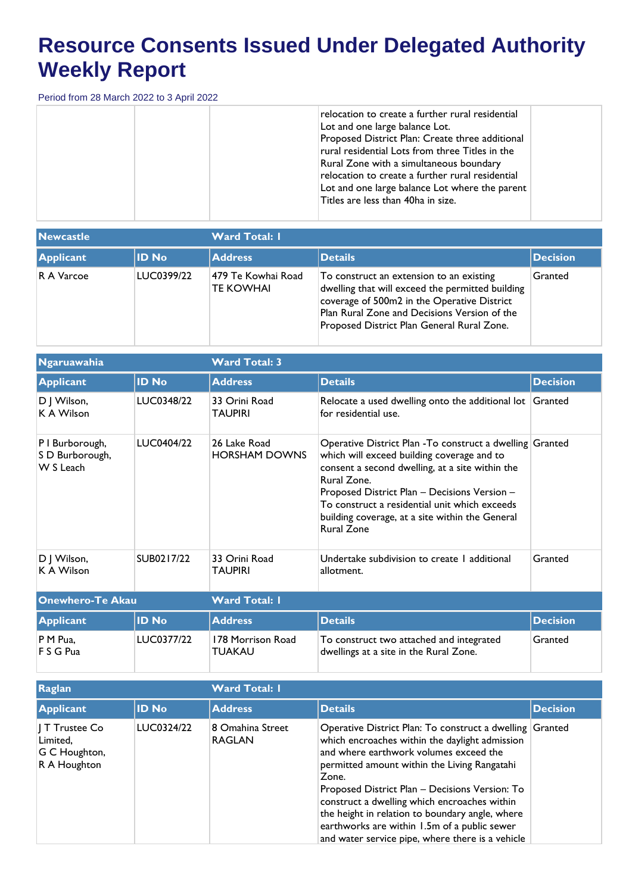| relocation to create a further rural residential<br>Lot and one large balance Lot.<br>Proposed District Plan: Create three additional<br>rural residential Lots from three Titles in the<br>Rural Zone with a simultaneous boundary<br>relocation to create a further rural residential<br>Lot and one large balance Lot where the parent<br>Titles are less than 40ha in size. |  |
|---------------------------------------------------------------------------------------------------------------------------------------------------------------------------------------------------------------------------------------------------------------------------------------------------------------------------------------------------------------------------------|--|
|---------------------------------------------------------------------------------------------------------------------------------------------------------------------------------------------------------------------------------------------------------------------------------------------------------------------------------------------------------------------------------|--|

| <b>Newcastle</b> |              | <b>Ward Total: I</b>                    |                                                                                                                                                                                                                                           |                 |  |
|------------------|--------------|-----------------------------------------|-------------------------------------------------------------------------------------------------------------------------------------------------------------------------------------------------------------------------------------------|-----------------|--|
| Applicant        | <b>ID No</b> | <b>Address</b>                          | Details                                                                                                                                                                                                                                   | <b>Decision</b> |  |
| R A Varcoe       | LUC0399/22   | 1479 Te Kowhai Road<br><b>TE KOWHAI</b> | To construct an extension to an existing<br>dwelling that will exceed the permitted building<br>coverage of 500m2 in the Operative District<br>Plan Rural Zone and Decisions Version of the<br>Proposed District Plan General Rural Zone. | Granted         |  |

| Ngaruawahia                                     |              | <b>Ward Total: 3</b>                 |                                                                                                                                                                                                                                                                                                                                                    |                 |  |
|-------------------------------------------------|--------------|--------------------------------------|----------------------------------------------------------------------------------------------------------------------------------------------------------------------------------------------------------------------------------------------------------------------------------------------------------------------------------------------------|-----------------|--|
| <b>Applicant</b>                                | <b>ID No</b> | <b>Address</b>                       | <b>Details</b>                                                                                                                                                                                                                                                                                                                                     | <b>Decision</b> |  |
| D J Wilson,<br>K A Wilson                       | LUC0348/22   | 33 Orini Road<br>TAUPIRI             | Relocate a used dwelling onto the additional lot<br>for residential use.                                                                                                                                                                                                                                                                           | Granted         |  |
| P I Burborough,<br>S D Burborough,<br>W S Leach | LUC0404/22   | 26 Lake Road<br><b>HORSHAM DOWNS</b> | Operative District Plan - To construct a dwelling Granted<br>which will exceed building coverage and to<br>consent a second dwelling, at a site within the<br>Rural Zone.<br>Proposed District Plan - Decisions Version -<br>To construct a residential unit which exceeds<br>building coverage, at a site within the General<br><b>Rural Zone</b> |                 |  |
| D J Wilson,<br>K A Wilson                       | SUB0217/22   | 33 Orini Road<br>TAUPIRI             | Undertake subdivision to create I additional<br>allotment.                                                                                                                                                                                                                                                                                         | Granted         |  |
| <b>Onewhero-Te Akau</b>                         |              | <b>Ward Total: I</b>                 |                                                                                                                                                                                                                                                                                                                                                    |                 |  |
| <b>Applicant</b>                                | <b>ID No</b> | <b>Address</b>                       | <b>Details</b>                                                                                                                                                                                                                                                                                                                                     | <b>Decision</b> |  |
| P M Pua,<br>F S G Pua                           | LUC0377/22   | 178 Morrison Road<br><b>TUAKAU</b>   | To construct two attached and integrated<br>dwellings at a site in the Rural Zone.                                                                                                                                                                                                                                                                 | Granted         |  |

| Raglan                                                                |              | <b>Ward Total: I</b>              |                                                                                                                                                                                                                                                                                                                                                                                                                                                                        |                 |  |
|-----------------------------------------------------------------------|--------------|-----------------------------------|------------------------------------------------------------------------------------------------------------------------------------------------------------------------------------------------------------------------------------------------------------------------------------------------------------------------------------------------------------------------------------------------------------------------------------------------------------------------|-----------------|--|
| Applicant                                                             | <b>ID No</b> | <b>Address</b>                    | <b>Details</b>                                                                                                                                                                                                                                                                                                                                                                                                                                                         | <b>Decision</b> |  |
| $\parallel$ T Trustee Co<br>Limited,<br>G C Houghton,<br>R A Houghton | LUC0324/22   | 8 Omahina Street<br><b>RAGLAN</b> | Operative District Plan: To construct a dwelling Granted<br>which encroaches within the daylight admission<br>and where earthwork volumes exceed the<br>permitted amount within the Living Rangatahi<br>Zone.<br>Proposed District Plan - Decisions Version: To<br>construct a dwelling which encroaches within<br>the height in relation to boundary angle, where<br>earthworks are within 1.5m of a public sewer<br>and water service pipe, where there is a vehicle |                 |  |